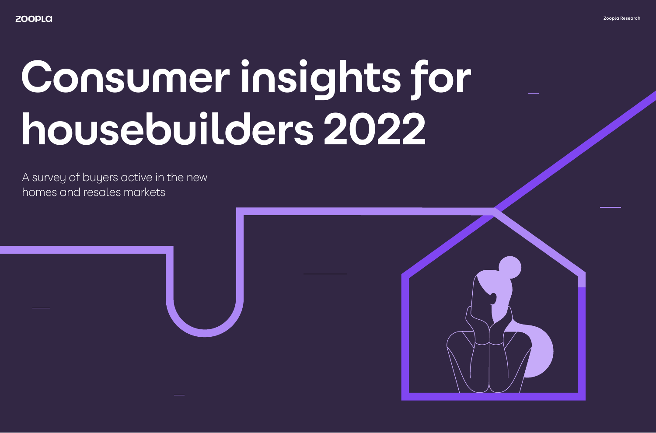A survey of buyers active in the new homes and resales markets



# **Consumer insights for housebuilders 2022**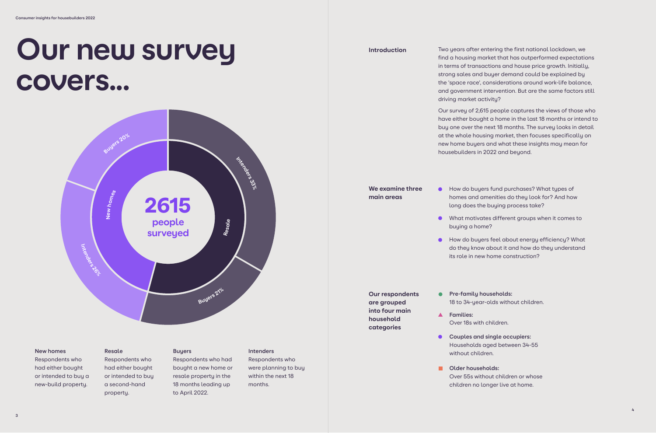

### **New homes**

Respondents who had either bought or intended to buy a new-build property.

### **Resale**

Respondents who had either bought or intended to buy a second-hand property.

### **Buyers**

Respondents who had bought a new home or resale property in the 18 months leading up to April 2022.

### **Intenders**

Respondents who were planning to buy within the next 18 months.

## **Our new survey covers...**

**How do buyers fund purchases? What types of** homes and amenities do they look for? And how long does the buying process take?

Two years after entering the first national lockdown, we find a housing market that has outperformed expectations in terms of transactions and house price growth. Initially, strong sales and buyer demand could be explained by the 'space race', considerations around work-life balance, and government intervention. But are the same factors still driving market activity?

**• How do buyers feel about energy efficiency? What** do they know about it and how do they understand

- **Pre-family households:** 18 to 34-year-olds without children.
- **Families:** Over 18s with children.
- **Couples and single occupiers:** Households aged between 34-55 without children.
- **Older households:** Over 55s without children or whose children no longer live at home.

Our survey of 2,615 people captures the views of those who have either bought a home in the last 18 months or intend to buy one over the next 18 months. The survey looks in detail at the whole housing market, then focuses specifically on new home buyers and what these insights may mean for housebuilders in 2022 and beyond.

What motivates different groups when it comes to

- - buying a home?
	- its role in new home construction?

**We examine three main areas**

**Our respondents are grouped into four main household categories**

### **Introduction**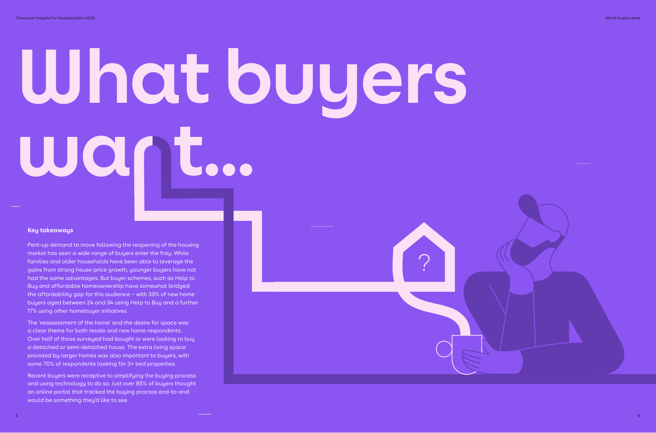# **What buyers want...**

?

Pent-up demand to move following the reopening of the housing market has seen a wide range of buyers enter the fray. While families and older households have been able to leverage the gains from strong house price growth, younger buyers have not had the same advantages. But buyer schemes, such as Help to Buy and affordable homeownership have somewhat bridged the affordability gap for this audience – with 39% of new home buyers aged between 24 and 34 using Help to Buy and a further 17% using other homebuyer initiatives.

The 'reassessment of the home' and the desire for space was a clear theme for both resale and new home respondents. Over half of those surveyed had bought or were looking to buy a detached or semi-detached house. The extra living space provided by larger homes was also important to buyers, with some 70% of respondents looking for 3+ bed properties.

Recent buyers were receptive to simplifying the buying process and using technology to do so. Just over 85% of buyers thought an online portal that tracked the buying process end-to-end would be something they'd like to see.

### **Key takeaways**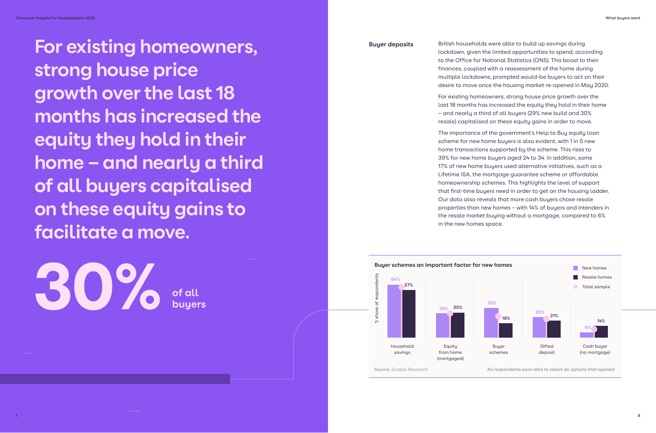**For existing homeowners, strong house price growth over the last 18 months has increased the equity they hold in their home – and nearly a third of all buyers capitalised on these equity gains to facilitate a move.**

**buyers**

**30%** of all

**Buyer deposits** British households were able to build up savings during lockdown, given the limited opportunities to spend, according to the Office for National Statistics (ONS). This boost to their finances, coupled with a reassessment of the home during multiple lockdowns, prompted would-be buyers to act on their desire to move once the housing market re-opened in May 2020.

> For existing homeowners, strong house price growth over the last 18 months has increased the equity they hold in their home – and nearly a third of all buyers (29% new build and 30% resale) capitalised on these equity gains in order to move.

The importance of the government's Help to Buy equity loan scheme for new home buyers is also evident, with 1 in 5 new home transactions supported by the scheme. This rises to 39% for new home buyers aged 24 to 34. In addition, some 17% of new home buyers used alternative initiatives, such as a Lifetime ISA, the mortgage guarantee scheme or affordable homeownership schemes. This highlights the level of support that first-time buyers need in order to get on the housing ladder. Our data also reveals that more cash buyers chose resale properties than new homes – with 14% of buyers and intenders in the resale market buying without a mortgage, compared to 6% in the new homes space.

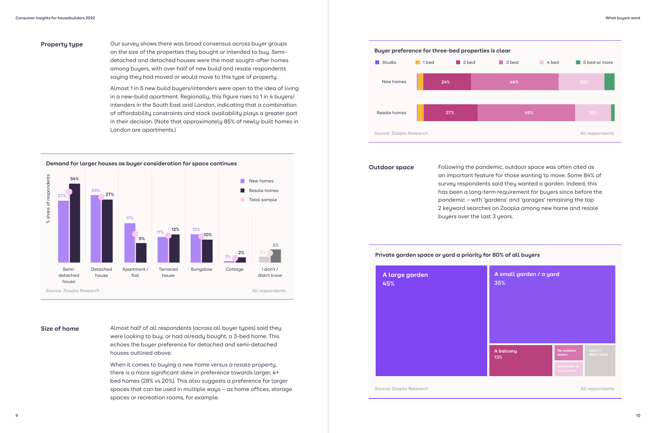### **Property type**

### **Size of home**

Our survey shows there was broad consensus across buyer groups on the size of the properties they bought or intended to buy. Semidetached and detached houses were the most sought-after homes among buyers, with over half of new build and resale respondents saying they had moved or would move to this type of property.

Almost 1 in 5 new build buyers/intenders were open to the idea of living in a new-build apartment. Regionally, this figure rises to 1 in 4 buyers/ intenders in the South East and London, indicating that a combination of affordability constraints and stock availability plays a greater part in their decision. (Note that approximately 85% of newly-built homes in London are apartments.)

Almost half of all respondents (across all buyer types) said they were looking to buy, or had already bought, a 3-bed home. This echoes the buyer preference for detached and semi-detached houses outlined above.

When it comes to buying a new home versus a resale property, there is a more significant skew in preference towards larger, 4+ bed homes (28% vs 20%). This also suggests a preference for larger spaces that can be used in multiple ways – as home offices, storage spaces or recreation rooms, for example.

### **Demand for larger houses as buyer consideration for space continues**



### **Private garden space or yard a priority for 80% of all buyers**

Source: Zoopla Research







**Outdoor space** Following the pandemic, outdoor space was often cited as an important feature for those wanting to move. Some 84% of survey respondents said they wanted a garden. Indeed, this has been a long-term requirement for buyers since before the pandemic – with 'gardens' and 'garages' remaining the top 2 keyword searches on Zoopla among new home and resale buyers over the last 3 years.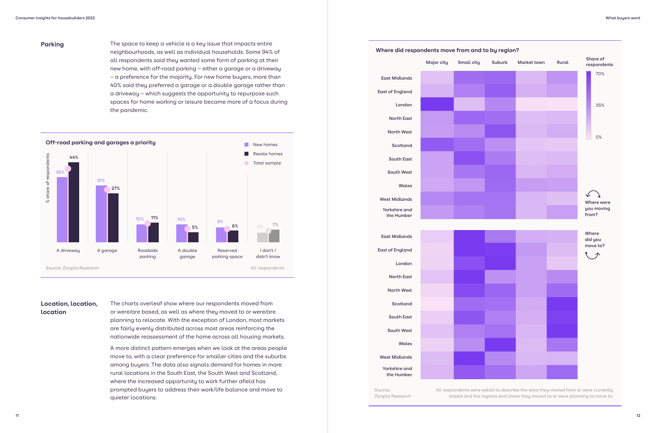

### **Parking**

### **Location, location, location**

The space to keep a vehicle is a key issue that impacts entire neighbourhoods, as well as individual households. Some 94% of all respondents said they wanted some form of parking at their new home, with off-road parking – either a garage or a driveway – a preference for the majority. For new home buyers, more than 40% said they preferred a garage or a double garage rather than a driveway – which suggests the opportunity to repurpose such spaces for home working or leisure became more of a focus during the pandemic.

The charts overleaf show where our respondents moved from or were/are based, as well as where they moved to or were/are planning to relocate. With the exception of London, most markets are fairly evenly distributed across most areas reinforcing the nationwide reassessment of the home across all housing markets.

A more distinct pattern emerges when we look at the areas people move to, with a clear preference for smaller cities and the suburbs among buyers. The data also signals demand for homes in more rural locations in the South East, the South West and Scotland, where the increased opportunity to work further afield has prompted buyers to address their work/life balance and move to quieter locations.

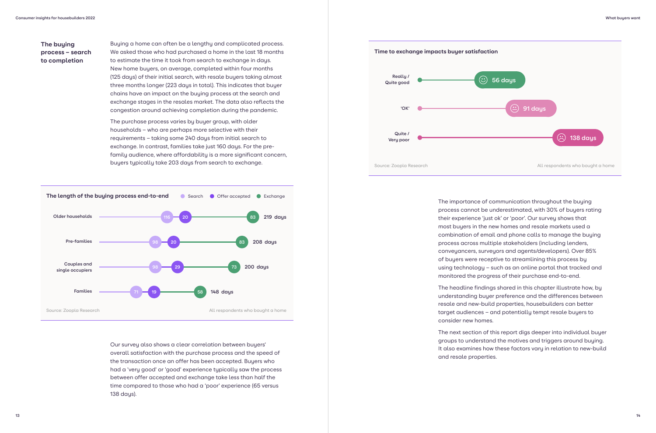### **The buying process – search to completion**

Buying a home can often be a lengthy and complicated process. We asked those who had purchased a home in the last 18 months to estimate the time it took from search to exchange in days. New home buyers, on average, completed within four months (125 days) of their initial search, with resale buyers taking almost three months longer (223 days in total). This indicates that buyer chains have an impact on the buying process at the search and exchange stages in the resales market. The data also reflects the congestion around achieving completion during the pandemic.

The purchase process varies by buyer group, with older households – who are perhaps more selective with their requirements – taking some 240 days from initial search to exchange. In contrast, families take just 160 days. For the prefamily audience, where affordability is a more significant concern, buyers typically take 203 days from search to exchange.

Our survey also shows a clear correlation between buyers' overall satisfaction with the purchase process and the speed of the transaction once an offer has been accepted. Buyers who had a 'very good' or 'good' experience typically saw the process between offer accepted and exchange take less than half the time compared to those who had a 'poor' experience (65 versus 138 days).



The importance of communication throughout the buying process cannot be underestimated, with 30% of buyers rating their experience 'just ok' or 'poor'. Our survey shows that most buyers in the new homes and resale markets used a combination of email and phone calls to manage the buying process across multiple stakeholders (including lenders, conveyancers, surveyors and agents/developers). Over 85% of buyers were receptive to streamlining this process by using technology – such as an online portal that tracked and monitored the progress of their purchase end-to-end.

The headline findings shared in this chapter illustrate how, by understanding buyer preference and the differences between resale and new-build properties, housebuilders can better target audiences – and potentially tempt resale buyers to

consider new homes.

The next section of this report digs deeper into individual buyer groups to understand the motives and triggers around buying. It also examines how these factors vary in relation to new-build and resale properties.

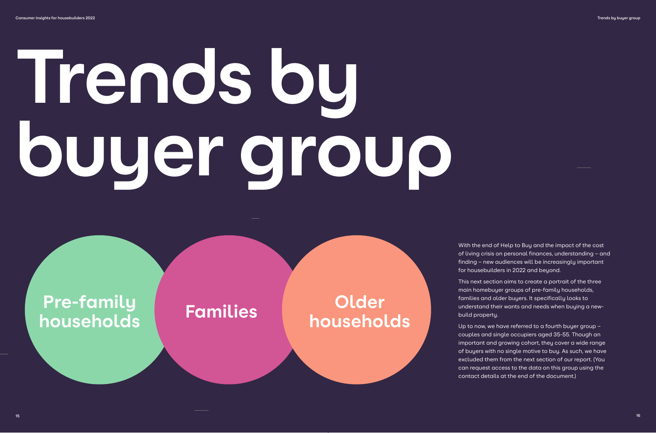# **Trends by buyer group**



With the end of Help to Buy and the impact of the cost of living crisis on personal finances, understanding – and finding – new audiences will be increasingly important for housebuilders in 2022 and beyond.

This next section aims to create a portrait of the three main homebuyer groups of pre-family households, families and older buyers. It specifically looks to understand their wants and needs when buying a newbuild property.

Up to now, we have referred to a fourth buyer group – couples and single occupiers aged 35-55. Though an important and growing cohort, they cover a wide range of buyers with no single motive to buy. As such, we have excluded them from the next section of our report. (You can request access to the data on this group using the contact details at the end of the document.)

**Older households**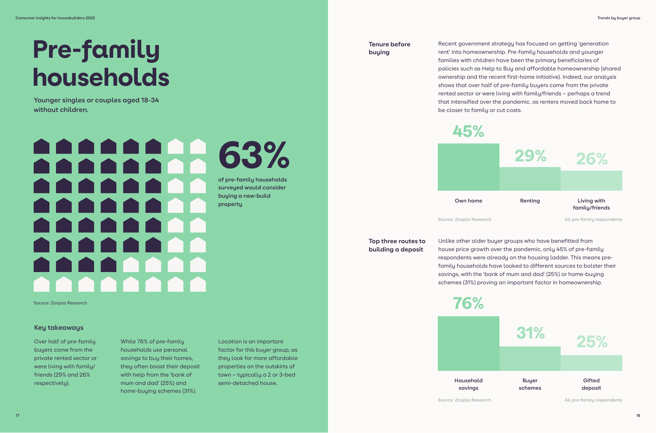### **STEP** 63% **of pre-family households surveyed would consider buying a new-build property**

### Pre-family households

**Younger singles or couples aged 18-34 without children.**

Over half of pre-family buyers come from the private rented sector or were living with family/ friends (29% and 26% respectively).

### **Key takeaways**

While 76% of pre-family households use personal savings to buy their homes, they often boost their deposit with help from the 'bank of mum and dad' (25%) and home-buying schemes (31%).

Location is an important factor for this buyer group, as they look for more affordable properties on the outskirts of town – typically a 2 or 3-bed semi-detached house.

**Tenure before buying**

**Top three routes to building a deposit**

Recent government strategy has focused on getting 'generation rent' into homeownership. Pre-family households and younger families with children have been the primary beneficiaries of policies such as Help to Buy and affordable homeownership (shared ownership and the recent first-home initiative). Indeed, our analysis shows that over half of pre-family buyers come from the private rented sector or were living with family/friends – perhaps a trend that intensified over the pandemic, as renters moved back home to be closer to family or cut costs.

Unlike other older buyer groups who have benefitted from house price growth over the pandemic, only 45% of pre-family respondents were already on the housing ladder. This means prefamily households have looked to different sources to bolster their savings, with the 'bank of mum and dad' (25%) or home-buying schemes (31%) proving an important factor in homeownership.



Source: Zoopla Research All pre-family respondents

45%

Source: Zoopla Research

**Household savings**



Source: Zoopla Research All pre-family respondents

76%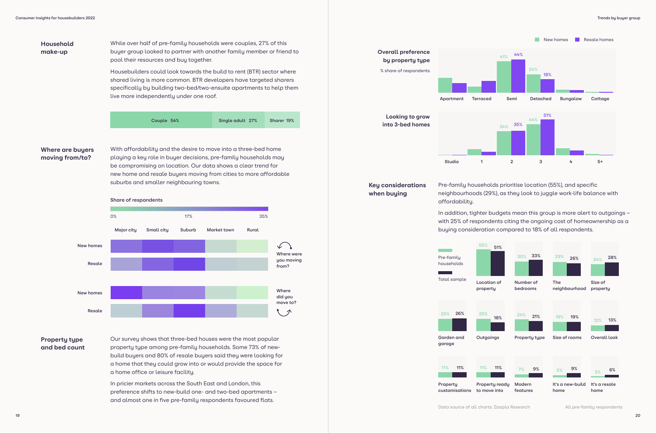**Household make-up**

### **Where are buyers moving from/to?**

While over half of pre-family households were couples, 27% of this buyer group looked to partner with another family member or friend to pool their resources and buy together.

Housebuilders could look towards the build to rent (BTR) sector where shared living is more common. BTR developers have targeted sharers specifically by building two-bed/two-ensuite apartments to help them live more independently under one roof.

With affordability and the desire to move into a three-bed home playing a key role in buyer decisions, pre-family households may be compromising on location. Our data shows a clear trend for new home and resale buyers moving from cities to more affordable suburbs and smaller neighbouring towns.

### **Property type and bed count**

Our survey shows that three-bed houses were the most popular property type among pre-family households. Some 73% of newbuild buyers and 80% of resale buyers said they were looking for a home that they could grow into or would provide the space for a home office or leisure facility.

In pricier markets across the South East and London, this preference shifts to new-build one- and two-bed apartments – and almost one in five pre-family respondents favoured flats.



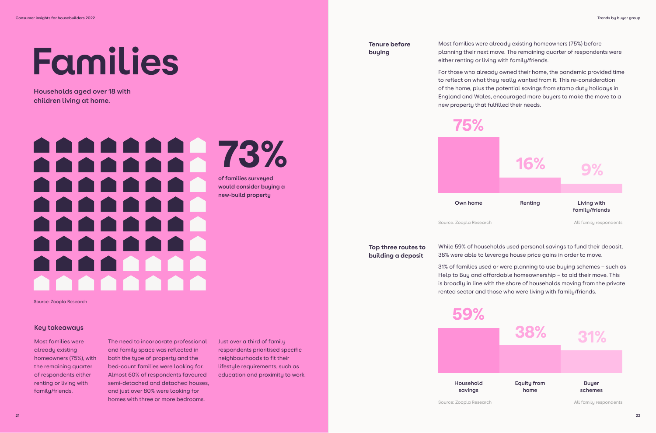### **Resale** 73% **THEFT** n T **of families surveyed**  T T T T **would consider buying a new-build property THE**  $\blacksquare$

# **Families**

**Households aged over 18 with children living at home.**

Most families were already existing homeowners (75%), with the remaining quarter of respondents either renting or living with family/friends.

### **Key takeaways**

The need to incorporate professional and family space was reflected in both the type of property and the bed-count families were looking for. Almost 60% of respondents favoured semi-detached and detached houses, and just over 80% were looking for homes with three or more bedrooms.

Just over a third of family respondents prioritised specific neighbourhoods to fit their lifestyle requirements, such as education and proximity to work. **Tenure before buying**

**Top three routes to building a deposit**

Most families were already existing homeowners (75%) before planning their next move. The remaining quarter of respondents were either renting or living with family/friends.

For those who already owned their home, the pandemic provided time to reflect on what they really wanted from it. This re-consideration of the home, plus the potential savings from stamp duty holidays in England and Wales, encouraged more buyers to make the move to a new property that fulfilled their needs.

While 59% of households used personal savings to fund their deposit, 38% were able to leverage house price gains in order to move.

31% of families used or were planning to use buying schemes – such as Help to Buy and affordable homeownership – to aid their move. This is broadly in line with the share of households moving from the private rented sector and those who were living with family/friends.



**Household savings**





59%

Source: Zoopla Research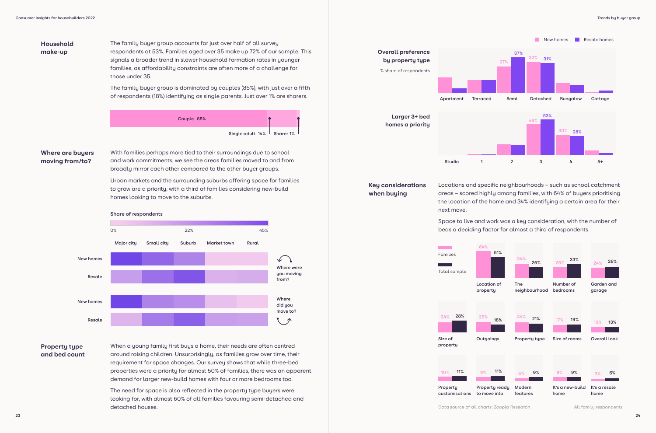**Household make-up**

### **Where are buyers moving from/to?**

The family buyer group accounts for just over half of all survey respondents at 53%. Families aged over 35 make up 72% of our sample. This signals a broader trend in slower household formation rates in younger families, as affordability constraints are often more of a challenge for those under 35.

The family buyer group is dominated by couples (85%), with just over a fifth of respondents (18%) identifying as single parents. Just over 1% are sharers.

With families perhaps more tied to their surroundings due to school and work commitments, we see the areas families moved to and from broadly mirror each other compared to the other buyer groups.

Urban markets and the surrounding suburbs offering space for families to grow are a priority, with a third of families considering new-build homes looking to move to the suburbs.

### **Property type and bed count**

When a young family first buys a home, their needs are often centred around raising children. Unsurprisingly, as families grow over time, their requirement for space changes. Our survey shows that while three-bed properties were a priority for almost 50% of families, there was an apparent demand for larger new-build homes with four or more bedrooms too.

The need for space is also reflected in the property type buyers were looking for, with almost 60% of all families favouring semi-detached and detached houses.



**Couple 85% Single adult 14% Sharer 1%**

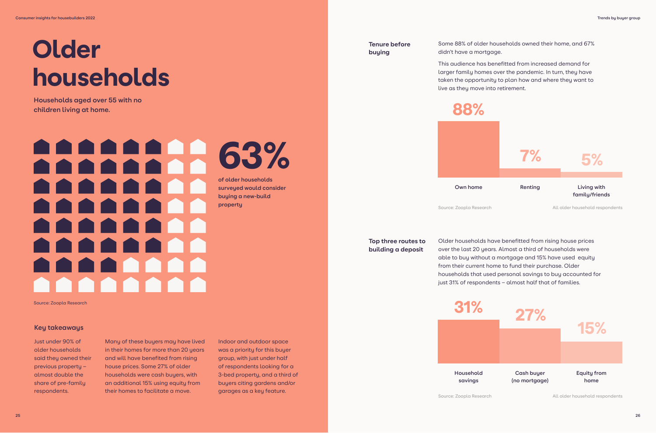Just under 90% of older households said they owned their previous property – almost double the share of pre-family respondents.

### **Key takeaways**

### **Older** households

Many of these buyers may have lived in their homes for more than 20 years and will have benefited from rising house prices. Some 27% of older households were cash buyers, with an additional 15% using equity from their homes to facilitate a move.

Indoor and outdoor space was a priority for this buyer group, with just under half of respondents looking for a 3-bed property, and a third of buyers citing gardens and/or garages as a key feature.

**Households aged over 55 with no children living at home.**

### $\blacksquare$  $\bullet$  $\blacksquare$ **TAN** 63% **ANTAR of older households surveyed would consider buying a new-build property**  $\blacksquare$ n T a sa

**Tenure before buying**

**Top three routes to building a deposit**

Some 88% of older households owned their home, and 67% didn't have a mortgage.

This audience has benefitted from increased demand for larger family homes over the pandemic. In turn, they have taken the opportunity to plan how and where they want to live as they move into retirement.

Older households have benefitted from rising house prices over the last 20 years. Almost a third of households were able to buy without a mortgage and 15% have used equity from their current home to fund their purchase. Older households that used personal savings to buy accounted for just 31% of respondents – almost half that of families.



88%

**Household savings**



Source: Zoopla Research **All older household respondents** 

Source: Zoopla Research All older household respondents

Source: Zoopla Research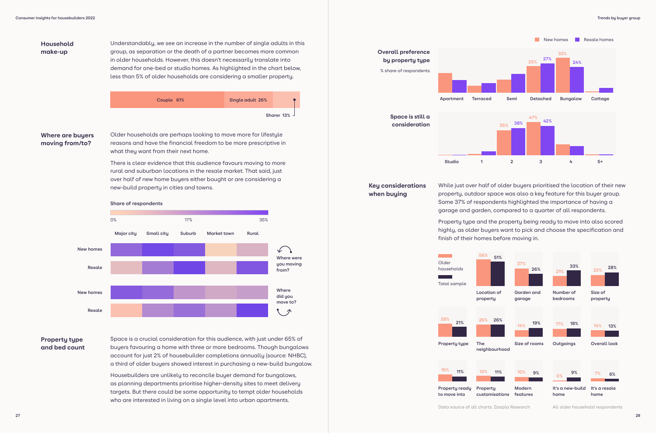**Household make-up**

### **Where are buyers moving from/to?**

Understandably, we see an increase in the number of single adults in this group, as separation or the death of a partner becomes more common in older households. However, this doesn't necessarily translate into demand for one-bed or studio homes. As highlighted in the chart below, less than 5% of older households are considering a smaller property.

Older households are perhaps looking to move more for lifestyle reasons and have the financial freedom to be more prescriptive in what they want from their next home.

There is clear evidence that this audience favours moving to more rural and suburban locations in the resale market. That said, just over half of new home buyers either bought or are considering a new-build property in cities and towns.

### **Property type and bed count**

Space is a crucial consideration for this audience, with just under 65% of buyers favouring a home with three or more bedrooms. Though bungalows account for just 2% of housebuilder completions annually (source: NHBC), a third of older buyers showed interest in purchasing a new-build bungalow.

Housebuilders are unlikely to reconcile buyer demand for bungalows, as planning departments prioritise higher-density sites to meet delivery targets. But there could be some opportunity to tempt older households who are interested in living on a single level into urban apartments.



### **Share of respondents**





Data source of all charts: Zoopla Research All older household respondents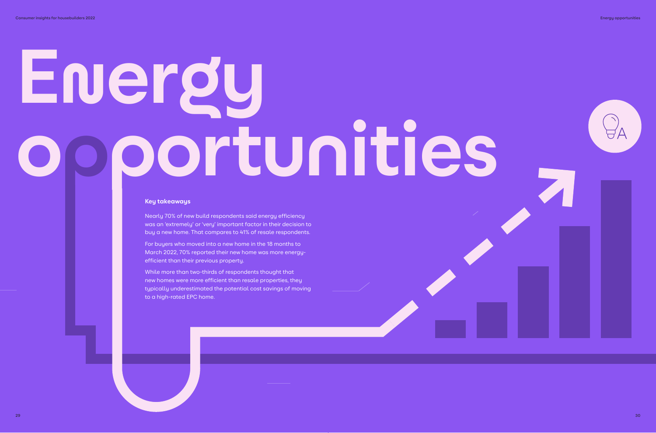# **Energy opportunities**

Nearly 70% of new build respondents said energy efficiency was an 'extremely' or 'very' important factor in their decision to buy a new home. That compares to 41% of resale respondents.

For buyers who moved into a new home in the 18 months to March 2022, 70% reported their new home was more energyefficient than their previous property.

While more than two-thirds of respondents thought that new homes were more efficient than resale properties, they typically underestimated the potential cost savings of moving to a high-rated EPC home.



### **Key takeaways**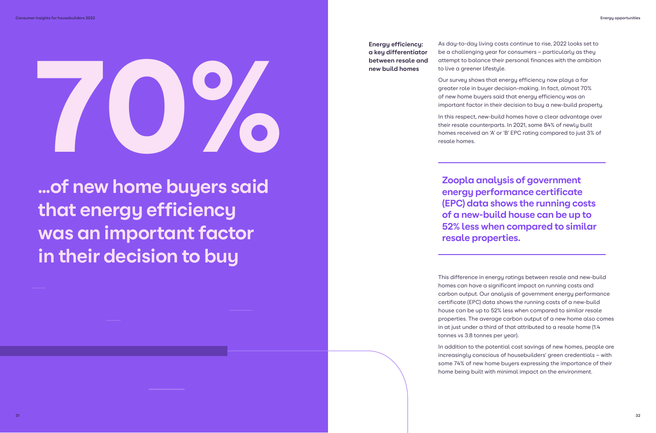**…of new home buyers said that energy efficiency was an important factor in their decision to buy**

# 70%

**Energy efficiency: a key differentiator between resale and new build homes**

As day-to-day living costs continue to rise, 2022 looks set to be a challenging year for consumers – particularly as they attempt to balance their personal finances with the ambition to live a greener lifestyle.

Our survey shows that energy efficiency now plays a far greater role in buyer decision-making. In fact, almost 70% of new home buyers said that energy efficiency was an important factor in their decision to buy a new-build property.

In this respect, new-build homes have a clear advantage over their resale counterparts. In 2021, some 84% of newly built homes received an 'A' or 'B' EPC rating compared to just 3% of resale homes.

This difference in energy ratings between resale and new-build homes can have a significant impact on running costs and carbon output. Our analysis of government energy performance certificate (EPC) data shows the running costs of a new-build house can be up to 52% less when compared to similar resale properties. The average carbon output of a new home also comes in at just under a third of that attributed to a resale home (1.4 tonnes vs 3.8 tonnes per year).

In addition to the potential cost savings of new homes, people are increasingly conscious of housebuilders' green credentials – with some 74% of new home buyers expressing the importance of their home being built with minimal impact on the environment.

**Zoopla analysis of government energy performance certificate (EPC) data shows the running costs of a new-build house can be up to 52% less when compared to similar resale properties.**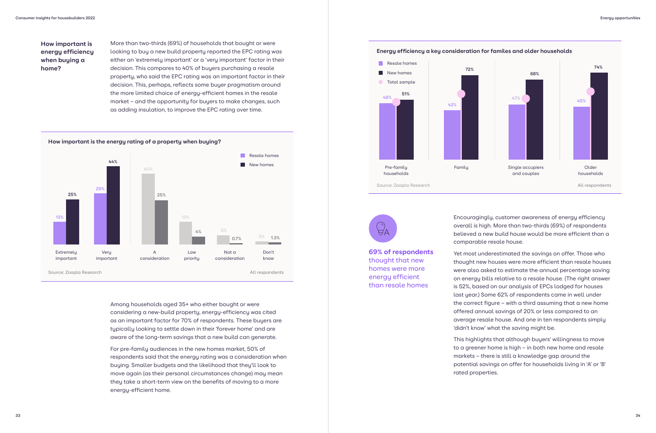Among households aged 35+ who either bought or were considering a new-build property, energy-efficiency was cited as an important factor for 70% of respondents. These buyers are typically looking to settle down in their 'forever home' and are aware of the long-term savings that a new build can generate.

For pre-family audiences in the new homes market, 50% of respondents said that the energy rating was a consideration when buying. Smaller budgets and the likelihood that they'll look to move again (as their personal circumstances change) may mean they take a short-term view on the benefits of moving to a more energy-efficient home.

### **How important is energy efficiency when buying a home?**

More than two-thirds (69%) of households that bought or were looking to buy a new build property reported the EPC rating was either an 'extremely important' or a 'very important' factor in their decision. This compares to 40% of buyers purchasing a resale property, who said the EPC rating was an important factor in their decision. This, perhaps, reflects some buyer pragmatism around the more limited choice of energy-efficient homes in the resale market – and the opportunity for buyers to make changes, such as adding insulation, to improve the EPC rating over time.

**How important is the energy rating of a property when buying?**



Encouragingly, customer awareness of energy efficiency overall is high. More than two-thirds (69%) of respondents believed a new build house would be more efficient than a comparable resale house.

Yet most underestimated the savings on offer. Those who thought new houses were more efficient than resale houses were also asked to estimate the annual percentage saving on energy bills relative to a resale house. (The right answer is 52%, based on our analysis of EPCs lodged for houses last year.) Some 62% of respondents came in well under the correct figure – with a third assuming that a new home offered annual savings of 20% or less compared to an average resale house. And one in ten respondents simply 'didn't know' what the saving might be.

This highlights that although buyers' willingness to move to a greener home is high – in both new home and resale markets – there is still a knowledge gap around the potential savings on offer for households living in 'A' or 'B' rated properties.





**69% of respondents**  thought that new homes were more energy efficient than resale homes